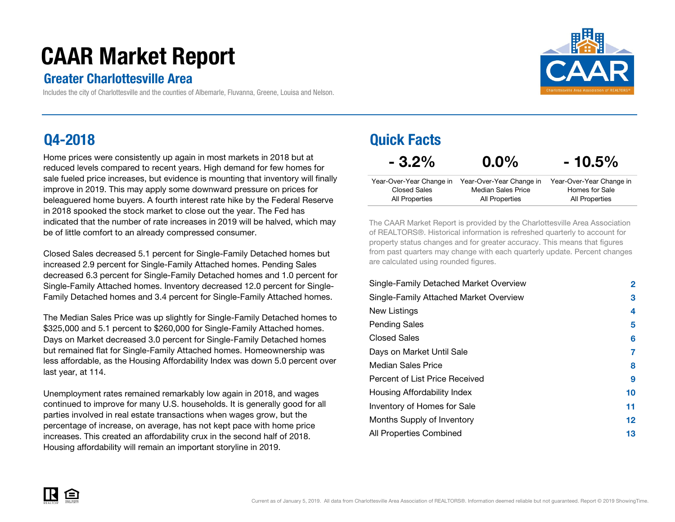# CAAR Market Report

### Greater Charlottesville Area

Includes the city of Charlottesville and the counties of Albemarle, Fluvanna, Greene, Louisa and Nelson.

### Q4-2018

Home prices were consistently up again in most markets in 2018 but at reduced levels compared to recent years. High demand for few homes for sale fueled price increases, but evidence is mounting that inventory will finallyimprove in 2019. This may apply some downward pressure on prices for beleaguered home buyers. A fourth interest rate hike by the Federal Reservein 2018 spooked the stock market to close out the year. The Fed has indicated that the number of rate increases in 2019 will be halved, which may be of little comfort to an already compressed consumer.

Closed Sales decreased 5.1 percent for Single-Family Detached homes but increased 2.9 percent for Single-Family Attached homes. Pending Sales decreased 6.3 percent for Single-Family Detached homes and 1.0 percent for Single-Family Attached homes. Inventory decreased 12.0 percent for Single-Family Detached homes and 3.4 percent for Single-Family Attached homes.

The Median Sales Price was up slightly for Single-Family Detached homes to \$325,000 and 5.1 percent to \$260,000 for Single-Family Attached homes.Days on Market decreased 3.0 percent for Single-Family Detached homes but remained flat for Single-Family Attached homes. Homeownership was less affordable, as the Housing Affordability Index was down 5.0 percent over last year, at 114.

Unemployment rates remained remarkably low again in 2018, and wages continued to improve for many U.S. households. It is generally good for all parties involved in real estate transactions when wages grow, but the percentage of increase, on average, has not kept pace with home price increases. This created an affordability crux in the second half of 2018. Housing affordability will remain an important storyline in 2019.

| <b>Quick Facts</b> |  |
|--------------------|--|
|--------------------|--|

 $-3.2%$ 

 $0.0\%$ 

| 10.5% |  |
|-------|--|
|-------|--|

|                | Year-Over-Year Change in Year-Over-Year Change in | Year-Over-Year Change in |
|----------------|---------------------------------------------------|--------------------------|
| Closed Sales   | Median Sales Price                                | Homes for Sale           |
| All Properties | All Properties                                    | All Properties           |

The CAAR Market Report is provided by the Charlottesville Area Association of REALTORS®. Historical information is refreshed quarterly to account for property status changes and for greater accuracy. This means that figures from past quarters may change with each quarterly update. Percent changes are calculated using rounded figures.

| Single-Family Detached Market Overview | $\mathbf{2}$ |
|----------------------------------------|--------------|
| Single-Family Attached Market Overview | 3            |
| New Listings                           | 4            |
| Pending Sales                          | 5            |
| <b>Closed Sales</b>                    | 6            |
| Days on Market Until Sale              | 7            |
| Median Sales Price                     | 8            |
| Percent of List Price Received         | 9            |
| Housing Affordability Index            | 10           |
| Inventory of Homes for Sale            | 11           |
| Months Supply of Inventory             | 12           |
| All Properties Combined                | 13           |

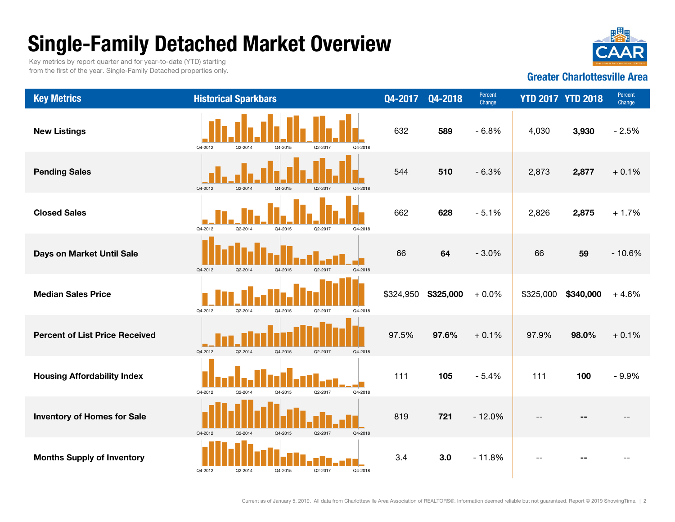# Single-Family Detached Market Overview

Key metrics by report quarter and for year-to-date (YTD) starting from the first of the year. Single-Family Detached properties only.



#### Greater Charlottesville Area

| <b>Key Metrics</b>                    | <b>Historical Sparkbars</b> |         |         |         |         | Q4-2017   | Q4-2018   | Percent<br>Change |           | <b>YTD 2017 YTD 2018</b> | Percent<br>Change |
|---------------------------------------|-----------------------------|---------|---------|---------|---------|-----------|-----------|-------------------|-----------|--------------------------|-------------------|
| <b>New Listings</b>                   | Q4-2012                     | Q2-2014 | Q4-2015 | Q2-2017 | Q4-2018 | 632       | 589       | $-6.8%$           | 4,030     | 3,930                    | $-2.5%$           |
| <b>Pending Sales</b>                  | Q4-2012                     | Q2-2014 | Q4-2015 | Q2-2017 | Q4-2018 | 544       | 510       | $-6.3%$           | 2,873     | 2,877                    | $+0.1%$           |
| <b>Closed Sales</b>                   | Q4-2012                     | Q2-2014 | Q4-2015 | Q2-2017 | Q4-2018 | 662       | 628       | $-5.1%$           | 2,826     | 2,875                    | $+1.7%$           |
| Days on Market Until Sale             | Q4-2012                     | Q2-2014 | Q4-2015 | Q2-2017 | Q4-2018 | 66        | 64        | $-3.0%$           | 66        | 59                       | $-10.6%$          |
| <b>Median Sales Price</b>             | Q4-2012                     | Q2-2014 | Q4-2015 | Q2-2017 | Q4-2018 | \$324,950 | \$325,000 | $+0.0%$           | \$325,000 | \$340,000                | $+4.6%$           |
| <b>Percent of List Price Received</b> | Q4-2012                     | Q2-2014 | Q4-2015 | Q2-2017 | Q4-2018 | 97.5%     | 97.6%     | $+0.1%$           | 97.9%     | 98.0%                    | $+0.1%$           |
| <b>Housing Affordability Index</b>    | Q4-2012                     | Q2-2014 | Q4-2015 | Q2-2017 | Q4-2018 | 111       | 105       | $-5.4%$           | 111       | 100                      | $-9.9%$           |
| <b>Inventory of Homes for Sale</b>    | Q4-2012                     | Q2-2014 | Q4-2015 | Q2-2017 | Q4-2018 | 819       | 721       | $-12.0%$          | --        |                          |                   |
| <b>Months Supply of Inventory</b>     | Q4-2012                     | Q2-2014 | Q4-2015 | Q2-2017 | Q4-2018 | 3.4       | 3.0       | $-11.8%$          | $-$       |                          |                   |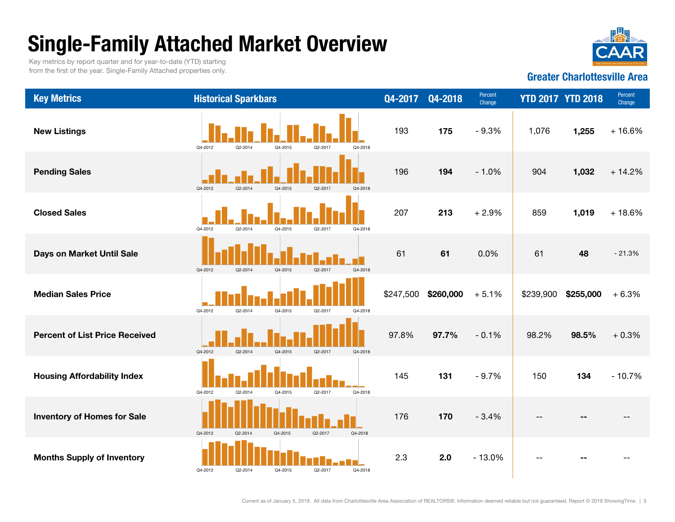# Single-Family Attached Market Overview

Q4-2012

Q4-2012

Q4-2012

Q2-2014 Q4-2015 Q2-2017 Q4-2018

Q2-2014 Q4-2015 Q2-2017 Q4-2018

Q2-2014 Q4-2015 Q2-2017 Q4-2018

Key metrics by report quarter and for year-to-date (YTD) starting from the first of the year. Single-Family Attached properties only.



--

Greater Charlottesville Area

#### Historical Sparkbars  $Q4-2017 Q4-2018$   $P_{\text{ercent}}$  YTD 2017 YTD 2018  $P_{\text{change}}$  Percent **Housing Affordability Index Contracts of The Tell Tell Tell Lew Contracts 145 131 - 9.7% | 150 134** - 10.7% 98.5% + 0.3% 97.8%97.8% 97.7%  $-0.1\%$  98.2%  $$255.000 + 6.3\%$ Days on Market Until Sale 61 61 0.0% 61 48 \$247,500 \$260,000 + 5.1% \$239,900  $1,019 + 18.6\%$ - 21.3%Pending Sales 196 194 - 1.0% 904 1,032 + 14.2% New Listings 193 175 - 9.3% 1,076  $1.255 + 16.6\%$  207 213**213**  $+ 2.9\%$  859 Q4-2012 Q2-2014 Q4-2015 Q2-2017 Q4-2018 Q4-2012 Q2-2014 Q4-2015 Q2-2017 Q4-2018 Q4-2012 Q2-2014 Q4-2015 Q2-2017 Q4-2018 Q4-2012 Q2-2014 Q4-2015 Q2-2017 Q4-2018 Q4-2012 Q2-2014 Q4-2015 Q2-2017 Q4-2018 Q4-2012Q2-2014 Q4-2015 Q2-2017 Q4-2018

Inventory of Homes for Sale **176** 176 170  $-$  3.4%

Percent of List Price Received

Median Sales Price

Key Metrics

Closed Sales

Months Supply of Inventory **2.5** 2.0 - 13.0%

Current as of January 5, 2019. All data from Charlottesville Area Association of REALTORS®. Information deemed reliable but not guaranteed. Report © 2019 ShowingTime. | 3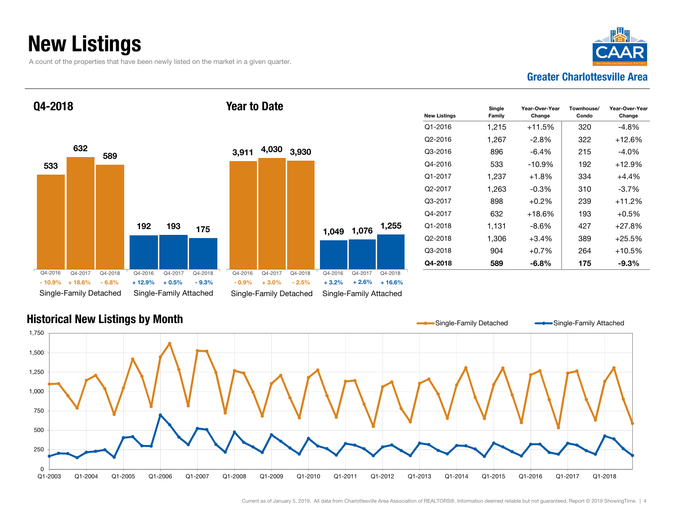### New Listings

A count of the properties that have been newly listed on the market in a given quarter.



Q4-2018



| 9       |                                                          |         |         |  | 3,911                  | 4,030              | 3,930              |                        |                    |                     |  |
|---------|----------------------------------------------------------|---------|---------|--|------------------------|--------------------|--------------------|------------------------|--------------------|---------------------|--|
|         |                                                          |         |         |  |                        |                    |                    |                        |                    |                     |  |
|         | 192                                                      | 193     | 175     |  |                        |                    |                    | 1,049                  | 1,076              | 1,255               |  |
|         |                                                          |         |         |  |                        |                    |                    |                        |                    |                     |  |
| 18<br>℅ | Q4-2016                                                  | Q4-2017 | Q4-2018 |  | Q4-2016<br>$-0.9%$     | Q4-2017<br>$+3.0%$ | Q4-2018<br>$-2.5%$ | Q4-2016<br>$+3.2%$     | Q4-2017<br>$+2.6%$ | Q4-2018<br>$+16.6%$ |  |
| ed      | $+0.5%$<br>$+12.9%$<br>$-9.3%$<br>Single-Family Attached |         |         |  | Single-Family Detached |                    |                    | Single-Family Attached |                    |                     |  |

Year to Date

| <b>New Listings</b> | Single<br>Family | Year-Over-Year<br>Change | Townhouse/<br>Condo | Year-Over-Year<br>Change |
|---------------------|------------------|--------------------------|---------------------|--------------------------|
| Q1-2016             | 1,215            | +11.5%                   | 320                 | -4.8%                    |
| Q2-2016             | 1,267            | -2.8%                    | 322                 | $+12.6%$                 |
| Q3-2016             | 896              | -6.4%                    | 215                 | -4.0%                    |
| Q4-2016             | 533              | -10.9%                   | 192                 | $+12.9\%$                |
| Q1-2017             | 1,237            | $+1.8\%$                 | 334                 | +4.4%                    |
| Q2-2017             | 1,263            | $-0.3\%$                 | 310                 | $-3.7\%$                 |
| Q3-2017             | 898              | $+0.2\%$                 | 239                 | $+11.2%$                 |
| Q4-2017             | 632              | $+18.6%$                 | 193                 | $+0.5%$                  |
| $Q1 - 2018$         | 1,131            | -8.6%                    | 427                 | $+27.8%$                 |
| Q2-2018             | 1,306            | $+3.4\%$                 | 389                 | $+25.5%$                 |
| Q3-2018             | 904              | +0.7%                    | 264                 | $+10.5%$                 |
| Q4-2018             | 589              | $-6.8\%$                 | 175                 | -9.3%                    |

### Historical New Listings by Month 0250 5007501,000 1,250 1,500 1,750 Q1-2003 Q1-2004 Q1-2005 Q1-2006 Q1-2007 Q1-2008 Q1-2009 Q1-2010 Q1-2011 Q1-2012 Q1-2013 Q1-2014 Q1-2015 Q1-2016 Q1-2017 Q1-2018Q1-2018 Single-Family Detached Single-Family Attached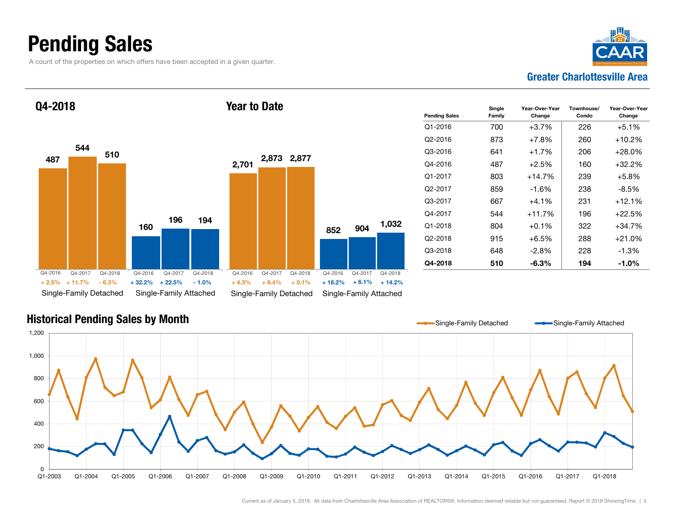### Pending Sales

A count of the properties on which offers have been accepted in a given quarter.



487160544196510194Single-Family Detached Single-Family Attached Q4-2018 2,701 8522,873 2,877 9041,032 Single-Family Detached Single-Family Attached Year to DateQ4-2016 Q4-2017 Q4-2018+ 11.7% - 6.3%+ 2.5% + 32.2% + 4.3% + 16.2% $+32.2\%$   $+22.5\%$   $-1.0\%$   $+4.3\%$   $+6.4\%$   $+0.1\%$   $+16.2\%$   $+6.1\%$   $+14.2\%$ Q4-2016 Q4-2017 Q4-2018 Q4-2016Q4-2017 Q4-2018 Q4-2016 Q4-2017 Q4-2018

| <b>Pending Sales</b> | Single<br>Family | Year-Over-Year<br>Change | Townhouse/<br>Condo | Year-Over-Year<br>Change |
|----------------------|------------------|--------------------------|---------------------|--------------------------|
| $O1 - 2016$          | 700              | $+3.7%$                  | 226                 | $+5.1%$                  |
| O2-2016              | 873              | $+7.8%$                  | 260                 | $+10.2%$                 |
| Q3-2016              | 641              | $+1.7%$                  | 206                 | $+28.0\%$                |
| Q4-2016              | 487              | +2.5%                    | 160                 | $+32.2%$                 |
| Q1-2017              | 803              | $+14.7\%$                | 239                 | $+5.8\%$                 |
| Q <sub>2</sub> -2017 | 859              | -1.6%                    | 238                 | -8.5%                    |
| Q3-2017              | 667              | $+4.1%$                  | 231                 | $+12.1%$                 |
| Q4-2017              | 544              | $+11.7%$                 | 196                 | $+22.5%$                 |
| Q1-2018              | 804              | $+0.1\%$                 | 322                 | $+34.7%$                 |
| Q2-2018              | 915              | +6.5%                    | 288                 | $+21.0%$                 |
| Q3-2018              | 648              | -2.8%                    | 228                 | $-1.3%$                  |
| Q4-2018              | 510              | $-6.3\%$                 | 194                 | $-1.0\%$                 |

### Historical Pending Sales by Month

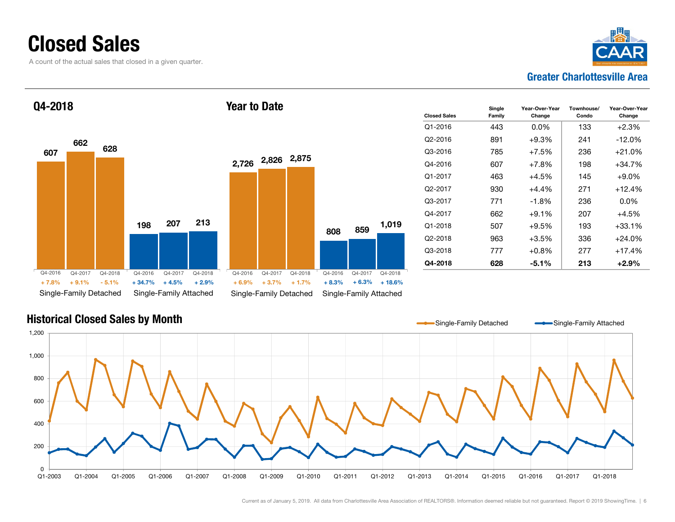### Closed Sales

A count of the actual sales that closed in a given quarter.



#### 607198662207628213Single-Family Detached Single-Family Attached Q4-2018 2,726 2,826 2,875 808859 1,019 Single-Family Detached Single-Family Attached Year to DateQ4-2016 Q4-2017 Q4-2018 $+9.1%$  $-5.1%$  $+ 34.7\%$   $+ 4.5\%$   $+ 2.9\%$   $+ 6.9\%$   $+ 3.7\%$   $+ 1.7\%$   $+ 8.3\%$   $+ 6.3\%$   $+ 18.6\%$ Q4-2016 Q4-2017 Q4-2018 Q4-2016 Q4-2017 Q4-2018 Q4-2016 Q4-2017 Q4-2018 + 7.8% $\%$  +  $9.1\%$  -  $5.1\%$  +  $34.7\%$  +  $4.5\%$  +  $2.9\%$  +  $6.9\%$  +  $3.7\%$  +  $1.7\%$  +  $8.3\%$

| <b>Closed Sales</b>  | Single<br>Family | Year-Over-Year<br>Change | Townhouse/<br>Condo | Year-Over-Year<br>Change |
|----------------------|------------------|--------------------------|---------------------|--------------------------|
| Q1-2016              | 443              | 0.0%                     | 133                 | $+2.3%$                  |
| O2-2016              | 891              | $+9.3%$                  | 241                 | $-12.0%$                 |
| Q3-2016              | 785              | $+7.5%$                  | 236                 | $+21.0%$                 |
| Q4-2016              | 607              | $+7.8\%$                 | 198                 | $+34.7%$                 |
| Q1-2017              | 463              | $+4.5%$                  | 145                 | $+9.0\%$                 |
| Q <sub>2</sub> -2017 | 930              | $+4.4%$                  | 271                 | $+12.4%$                 |
| Q3-2017              | 771              | $-1.8%$                  | 236                 | 0.0%                     |
| Q4-2017              | 662              | $+9.1\%$                 | 207                 | $+4.5%$                  |
| $Q1 - 2018$          | 507              | $+9.5%$                  | 193                 | $+33.1%$                 |
| Q2-2018              | 963              | $+3.5%$                  | 336                 | $+24.0%$                 |
| Q3-2018              | 777              | $+0.8\%$                 | 277                 | $+17.4%$                 |
| Q4-2018              | 628              | -5.1%                    | 213                 | $+2.9\%$                 |

#### Historical Closed Sales by Month

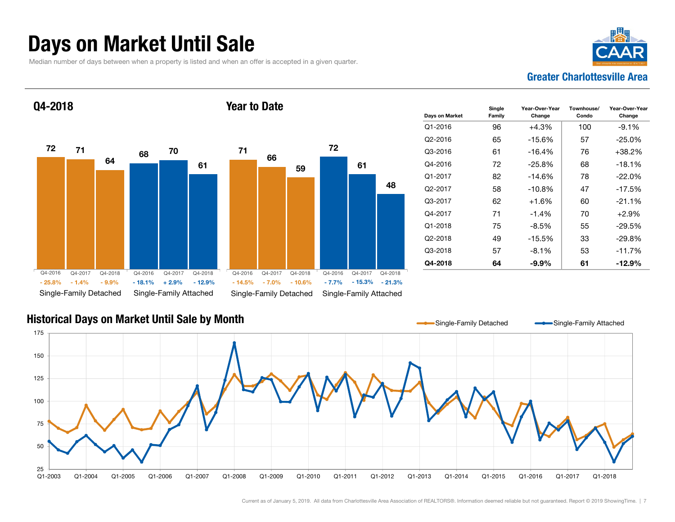### Days on Market Until Sale

Median number of days between when a property is listed and when an offer is accepted in a given quarter.





| Days on Market       | Single<br>Family | Year-Over-Year<br>Change | Townhouse/<br>Condo | Year-Over-Year<br>Change |
|----------------------|------------------|--------------------------|---------------------|--------------------------|
| $Q1 - 2016$          | 96               | $+4.3%$                  | 100                 | $-9.1%$                  |
| Q2-2016              | 65               | $-15.6%$                 | 57                  | $-25.0%$                 |
| Q3-2016              | 61               | $-16.4%$                 | 76                  | $+38.2%$                 |
| Q4-2016              | 72               | $-25.8\%$                | 68                  | $-18.1\%$                |
| Q1-2017              | 82               | -14.6%                   | 78                  | $-22.0%$                 |
| Q <sub>2</sub> -2017 | 58               | $-10.8%$                 | 47                  | $-17.5%$                 |
| Q3-2017              | 62               | $+1.6%$                  | 60                  | $-21.1%$                 |
| Q4-2017              | 71               | $-1.4\%$                 | 70                  | $+2.9\%$                 |
| $Q1 - 2018$          | 75               | $-8.5%$                  | 55                  | $-29.5%$                 |
| Q2-2018              | 49               | $-15.5%$                 | 33                  | $-29.8%$                 |
| Q3-2018              | 57               | $-8.1\%$                 | 53                  | $-11.7%$                 |
| Q4-2018              | 64               | -9.9%                    | 61                  | $-12.9%$                 |

### Historical Days on Market Until Sale by Month

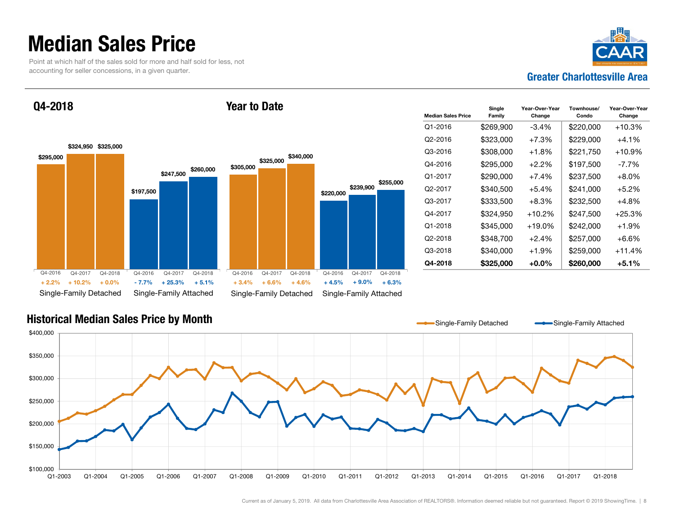### Median Sales Price

Point at which half of the sales sold for more and half sold for less, not accounting for seller concessions, in a given quarter.



Q4-2018



Year to Date

| <b>Median Sales Price</b> | Single<br>Family | Year-Over-Year<br>Change | Townhouse/<br>Condo | Year-Over-Year<br>Change |
|---------------------------|------------------|--------------------------|---------------------|--------------------------|
| Q1-2016                   | \$269,900        | $-3.4%$                  | \$220,000           | +10.3%                   |
| Q <sub>2</sub> -2016      | \$323,000        | $+7.3%$                  | \$229,000           | $+4.1%$                  |
| Q3-2016                   | \$308,000        | $+1.8\%$                 | \$221,750           | +10.9%                   |
| Q4-2016                   | \$295,000        | $+2.2\%$                 | \$197,500           | -7.7%                    |
| Q1-2017                   | \$290,000        | $+7.4%$                  | \$237,500           | $+8.0\%$                 |
| Q <sub>2</sub> -2017      | \$340,500        | $+5.4%$                  | \$241,000           | $+5.2\%$                 |
| $O3-2017$                 | \$333,500        | $+8.3\%$                 | \$232,500           | $+4.8\%$                 |
| Q4-2017                   | \$324,950        | $+10.2%$                 | \$247,500           | +25.3%                   |
| Q1-2018                   | \$345,000        | $+19.0\%$                | \$242,000           | $+1.9%$                  |
| Q2-2018                   | \$348,700        | $+2.4%$                  | \$257,000           | $+6.6%$                  |
| Q3-2018                   | \$340,000        | $+1.9%$                  | \$259.000           | +11.4%                   |
| Q4-2018                   | \$325,000        | +0.0%                    | \$260,000           | $+5.1%$                  |

#### Historical Median Sales Price by Month

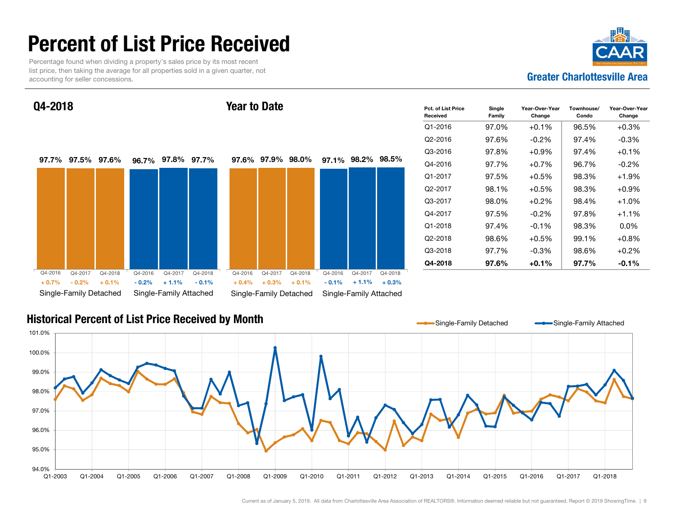### Percent of List Price Received

Percentage found when dividing a property's sales price by its most recent list price, then taking the average for all properties sold in a given quarter, not accounting for seller concessions.



Q4-2018

#### Year to Date



| Pct. of List Price<br>Received | Single<br>Family | Year-Over-Year<br>Change | Townhouse/<br>Condo | Year-Over-Year<br>Change |
|--------------------------------|------------------|--------------------------|---------------------|--------------------------|
| $Q1 - 2016$                    | 97.0%            | $+0.1%$                  | 96.5%               | $+0.3%$                  |
| Q2-2016                        | 97.6%            | $-0.2\%$                 | 97.4%               | $-0.3%$                  |
| Q3-2016                        | 97.8%            | $+0.9\%$                 | 97.4%               | $+0.1%$                  |
| Q4-2016                        | 97.7%            | $+0.7%$                  | 96.7%               | $-0.2\%$                 |
| Q1-2017                        | 97.5%            | $+0.5\%$                 | 98.3%               | $+1.9%$                  |
| Q2-2017                        | 98.1%            | $+0.5%$                  | 98.3%               | $+0.9\%$                 |
| Q3-2017                        | 98.0%            | $+0.2%$                  | 98.4%               | $+1.0%$                  |
| Q4-2017                        | 97.5%            | $-0.2\%$                 | 97.8%               | $+1.1%$                  |
| Q1-2018                        | 97.4%            | $-0.1%$                  | 98.3%               | $0.0\%$                  |
| Q2-2018                        | 98.6%            | $+0.5\%$                 | 99.1%               | $+0.8%$                  |
| Q3-2018                        | 97.7%            | $-0.3\%$                 | 98.6%               | $+0.2%$                  |
| Q4-2018                        | 97.6%            | $+0.1\%$                 | 97.7%               | $-0.1\%$                 |

#### Historical Percent of List Price Received by Month

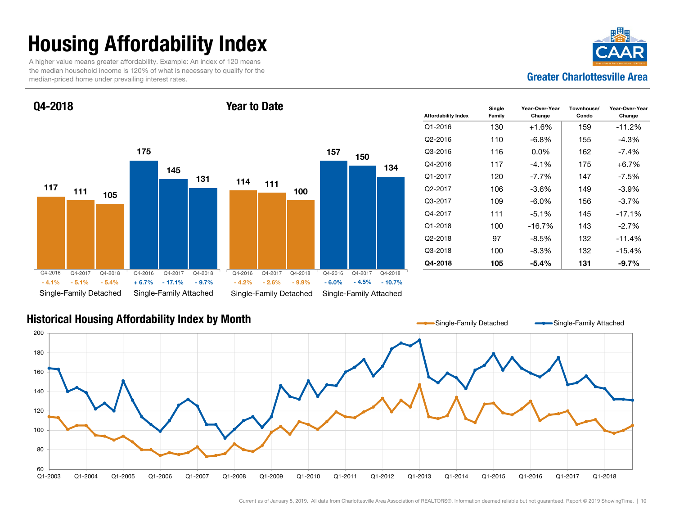# Housing Affordability Index

A higher value means greater affordability. Example: An index of 120 means the median household income is 120% of what is necessary to qualify for the median-priced home under prevailing interest rates.



Q4-2018

#### Year to Date



| <b>Affordability Index</b> | Single<br>Family | Year-Over-Year<br>Change | Townhouse/<br>Condo | Year-Over-Year<br>Change |
|----------------------------|------------------|--------------------------|---------------------|--------------------------|
| $Q1 - 2016$                | 130              | +1.6%                    | 159                 | $-11.2%$                 |
| Q2-2016                    | 110              | -6.8%                    | 155                 | $-4.3%$                  |
| Q3-2016                    | 116              | $0.0\%$                  | 162                 | -7.4%                    |
| Q4-2016                    | 117              | $-4.1%$                  | 175                 | $+6.7\%$                 |
| Q1-2017                    | 120              | $-7.7\%$                 | 147                 | $-7.5\%$                 |
| Q2-2017                    | 106              | $-3.6\%$                 | 149                 | $-3.9\%$                 |
| Q3-2017                    | 109              | -6.0%                    | 156                 | $-3.7%$                  |
| Q4-2017                    | 111              | $-5.1%$                  | 145                 | $-17.1%$                 |
| Q1-2018                    | 100              | $-16.7%$                 | 143                 | $-2.7%$                  |
| Q2-2018                    | 97               | -8.5%                    | 132                 | $-11.4%$                 |
| Q3-2018                    | 100              | -8.3%                    | 132                 | -15.4%                   |
| Q4-2018                    | 105              | $-5.4\%$                 | 131                 | $-9.7\%$                 |

#### Historical Housing Affordability Index by Month

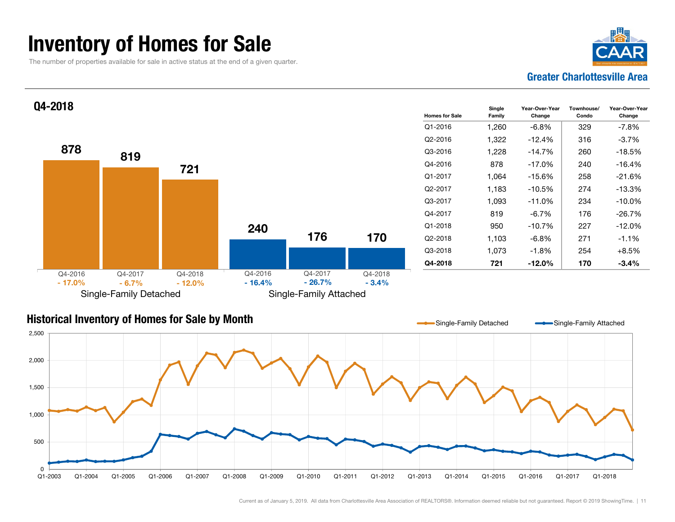### Inventory of Homes for Sale

The number of properties available for sale in active status at the end of a given quarter.





#### Historical Inventory of Homes for Sale by Month



Single-Family Detached Single-Family Attached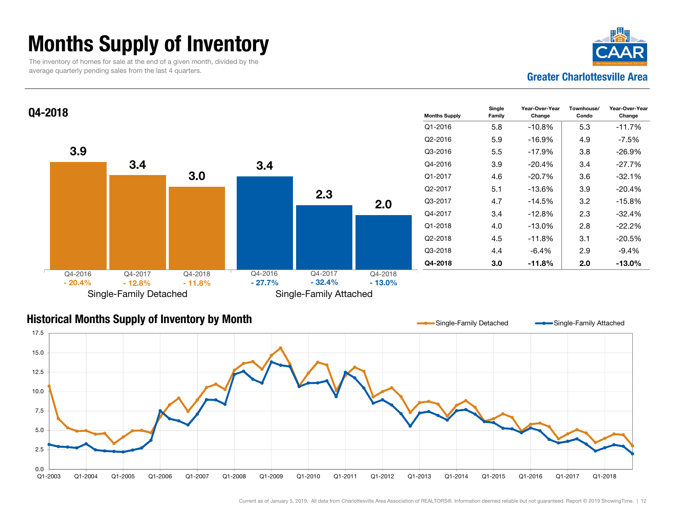### Months Supply of Inventory

The inventory of homes for sale at the end of a given month, divided by the average quarterly pending sales from the last 4 quarters.





### Historical Months Supply of Inventory by Month